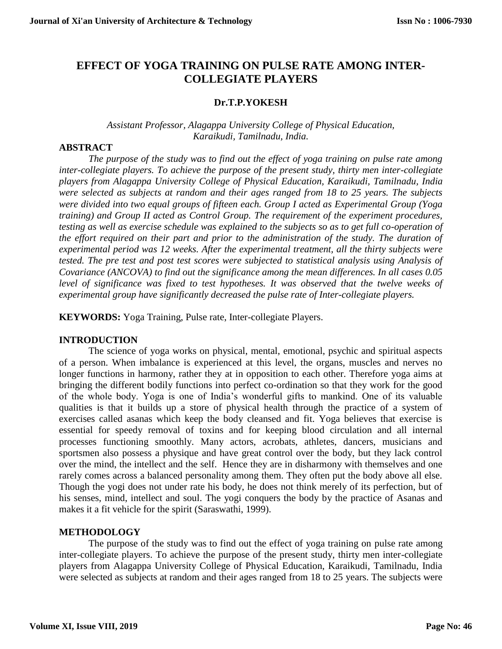# **EFFECT OF YOGA TRAINING ON PULSE RATE AMONG INTER-COLLEGIATE PLAYERS**

### **Dr.T.P.YOKESH**

### *[Assistant Professor,](http://www.bdu.ac.in/schools/education/physical-education-and-yoga/docs/faculty/dr_a_palanisamy.pdf) Alagappa University College of Physical Education, Karaikudi, Tamilnadu, India.*

### **ABSTRACT**

*The purpose of the study was to find out the effect of yoga training on pulse rate among inter-collegiate players. To achieve the purpose of the present study, thirty men inter-collegiate players from Alagappa University College of Physical Education, Karaikudi, Tamilnadu, India were selected as subjects at random and their ages ranged from 18 to 25 years. The subjects were divided into two equal groups of fifteen each. Group I acted as Experimental Group (Yoga training) and Group II acted as Control Group. The requirement of the experiment procedures, testing as well as exercise schedule was explained to the subjects so as to get full co-operation of the effort required on their part and prior to the administration of the study. The duration of experimental period was 12 weeks. After the experimental treatment, all the thirty subjects were tested. The pre test and post test scores were subjected to statistical analysis using Analysis of Covariance (ANCOVA) to find out the significance among the mean differences. In all cases 0.05*  level of significance was fixed to test hypotheses. It was observed that the twelve weeks of *experimental group have significantly decreased the pulse rate of Inter-collegiate players.* 

**KEYWORDS:** Yoga Training, Pulse rate, Inter-collegiate Players.

### **INTRODUCTION**

The science of yoga works on physical, mental, emotional, psychic and spiritual aspects of a person. When imbalance is experienced at this level, the organs, muscles and nerves no longer functions in harmony, rather they at in opposition to each other. Therefore yoga aims at bringing the different bodily functions into perfect co-ordination so that they work for the good of the whole body. Yoga is one of India's wonderful gifts to mankind. One of its valuable qualities is that it builds up a store of physical health through the practice of a system of exercises called asanas which keep the body cleansed and fit. Yoga believes that exercise is essential for speedy removal of toxins and for keeping blood circulation and all internal processes functioning smoothly. Many actors, acrobats, athletes, dancers, musicians and sportsmen also possess a physique and have great control over the body, but they lack control over the mind, the intellect and the self. Hence they are in disharmony with themselves and one rarely comes across a balanced personality among them. They often put the body above all else. Though the yogi does not under rate his body, he does not think merely of its perfection, but of his senses, mind, intellect and soul. The yogi conquers the body by the practice of Asanas and makes it a fit vehicle for the spirit (Saraswathi, 1999).

### **METHODOLOGY**

The purpose of the study was to find out the effect of yoga training on pulse rate among inter-collegiate players. To achieve the purpose of the present study, thirty men inter-collegiate players from Alagappa University College of Physical Education, Karaikudi, Tamilnadu, India were selected as subjects at random and their ages ranged from 18 to 25 years. The subjects were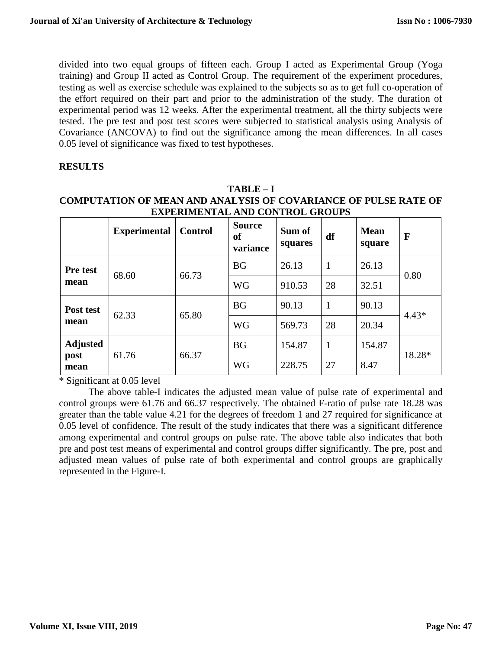divided into two equal groups of fifteen each. Group I acted as Experimental Group (Yoga training) and Group II acted as Control Group. The requirement of the experiment procedures, testing as well as exercise schedule was explained to the subjects so as to get full co-operation of the effort required on their part and prior to the administration of the study. The duration of experimental period was 12 weeks. After the experimental treatment, all the thirty subjects were tested. The pre test and post test scores were subjected to statistical analysis using Analysis of Covariance (ANCOVA) to find out the significance among the mean differences. In all cases 0.05 level of significance was fixed to test hypotheses.

# **RESULTS**

### **TABLE – I COMPUTATION OF MEAN AND ANALYSIS OF COVARIANCE OF PULSE RATE OF EXPERIMENTAL AND CONTROL GROUPS**

|                                 | <b>Experimental</b> | <b>Control</b> | <b>Source</b><br><b>of</b><br>variance | Sum of<br>squares | df           | <b>Mean</b><br>square | $\mathbf F$ |
|---------------------------------|---------------------|----------------|----------------------------------------|-------------------|--------------|-----------------------|-------------|
| Pre test<br>mean                | 68.60               | 66.73          | <b>BG</b>                              | 26.13             | 1            | 26.13                 | 0.80        |
|                                 |                     |                | <b>WG</b>                              | 910.53            | 28           | 32.51                 |             |
| Post test<br>mean               | 62.33               | 65.80          | <b>BG</b>                              | 90.13             | $\mathbf{1}$ | 90.13                 | $4.43*$     |
|                                 |                     |                | <b>WG</b>                              | 569.73            | 28           | 20.34                 |             |
| <b>Adjusted</b><br>post<br>mean | 61.76               | 66.37          | <b>BG</b>                              | 154.87            | $\mathbf{1}$ | 154.87                | 18.28*      |
|                                 |                     |                | <b>WG</b>                              | 228.75            | 27           | 8.47                  |             |

\* Significant at 0.05 level

The above table-I indicates the adjusted mean value of pulse rate of experimental and control groups were 61.76 and 66.37 respectively. The obtained F-ratio of pulse rate 18.28 was greater than the table value 4.21 for the degrees of freedom 1 and 27 required for significance at 0.05 level of confidence. The result of the study indicates that there was a significant difference among experimental and control groups on pulse rate. The above table also indicates that both pre and post test means of experimental and control groups differ significantly. The pre, post and adjusted mean values of pulse rate of both experimental and control groups are graphically represented in the Figure-I.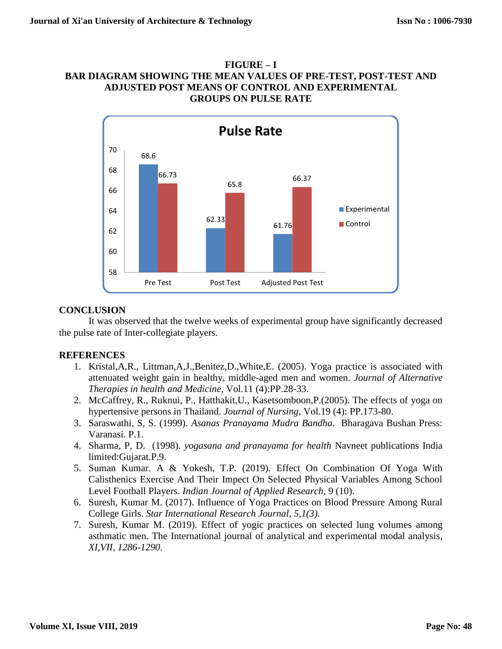### **FIGURE – I BAR DIAGRAM SHOWING THE MEAN VALUES OF PRE-TEST, POST-TEST AND ADJUSTED POST MEANS OF CONTROL AND EXPERIMENTAL GROUPS ON PULSE RATE**



### **CONCLUSION**

It was observed that the twelve weeks of experimental group have significantly decreased the pulse rate of Inter-collegiate players.

## **REFERENCES**

- 1. Kristal,A,R., Littman,A,J.,Benitez,D.,White,E. (2005). Yoga practice is associated with attenuated weight gain in healthy, middle-aged men and women. *Journal of Alternative Therapies in health and Medicine*, Vol.11 (4):PP.28-33.
- 2. McCaffrey, R., Ruknui, P., Hatthakit,U., Kasetsomboon,P.(2005). The effects of yoga on hypertensive persons in Thailand. *Journal of Nursing*, Vol.19 (4): PP.173-80.
- 3. Saraswathi, S, S. (1999). *Asanas Pranayama Mudra Bandha*. Bharagava Bushan Press: Varanasi. P.1.
- 4. Sharma, P, D. (1998). *yogasana and pranayama for health* Navneet publications India limited:Gujarat.P.9.
- 5. Suman Kumar. A & Yokesh, T.P. (2019). [Effect On Combination Of Yoga With](javascript:void(0))  [Calisthenics Exercise And Their Impect On Selected Physical Variables Among School](javascript:void(0))  [Level Football Players.](javascript:void(0)) *Indian Journal of Applied Research,* 9 (10).
- 6. Suresh, Kumar M. (2017). Influence of Yoga Practices on Blood Pressure Among Rural College Girls. *Star International Research Journal, 5,1(3).*
- 7. Suresh, Kumar M. (2019). Effect of yogic practices on selected lung volumes among asthmatic men. The International journal of analytical and experimental modal analysis*, XI,VII, 1286-1290.*